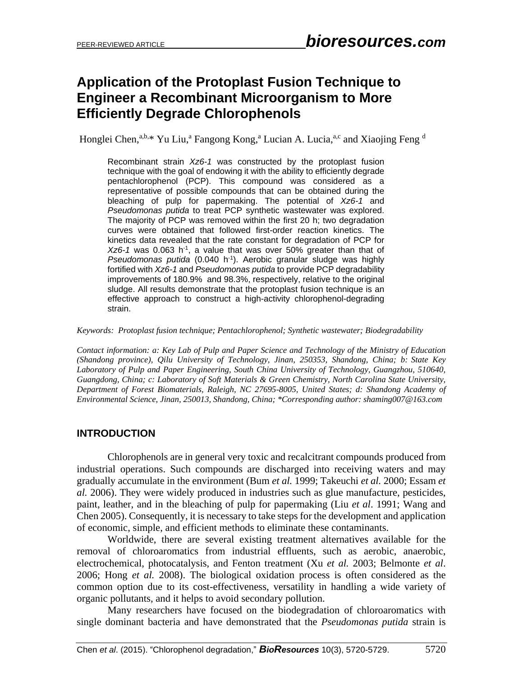# **Application of the Protoplast Fusion Technique to Engineer a Recombinant Microorganism to More Efficiently Degrade Chlorophenols**

Honglei Chen,<sup>a,b,\*</sup> Yu Liu,<sup>a</sup> Fangong Kong,<sup>a</sup> Lucian A. Lucia,<sup>a,c</sup> and Xiaojing Feng <sup>d</sup>

Recombinant strain *Xz6-1* was constructed by the protoplast fusion technique with the goal of endowing it with the ability to efficiently degrade pentachlorophenol (PCP). This compound was considered as a representative of possible compounds that can be obtained during the bleaching of pulp for papermaking. The potential of *Xz6-1* and *Pseudomonas putida* to treat PCP synthetic wastewater was explored. The majority of PCP was removed within the first 20 h; two degradation curves were obtained that followed first-order reaction kinetics. The kinetics data revealed that the rate constant for degradation of PCP for Xz6-1 was 0.063 h<sup>-1</sup>, a value that was over 50% greater than that of Pseudomonas putida (0.040 h<sup>-1</sup>). Aerobic granular sludge was highly fortified with *Xz6-1* and *Pseudomonas putida* to provide PCP degradability improvements of 180.9% and 98.3%, respectively, relative to the original sludge. All results demonstrate that the protoplast fusion technique is an effective approach to construct a high-activity chlorophenol-degrading strain.

*Keywords: Protoplast fusion technique; Pentachlorophenol; Synthetic wastewater; Biodegradability*

*Contact information: a: Key Lab of Pulp and Paper Science and Technology of the Ministry of Education (Shandong province), Qilu University of Technology, Jinan, 250353, Shandong, China; b: State Key Laboratory of Pulp and Paper Engineering, South China University of Technology, Guangzhou, 510640, Guangdong, China; c: Laboratory of Soft Materials & Green Chemistry, North Carolina State University, Department of Forest Biomaterials, Raleigh, NC 27695-8005, United States; d: Shandong Academy of Environmental Science, Jinan, 250013, Shandong, China; \*Corresponding author[: shaming007@163.com](mailto:shaming007@163.com)*

# **INTRODUCTION**

Chlorophenols are in general very toxic and recalcitrant compounds produced from industrial operations. Such compounds are discharged into receiving waters and may gradually accumulate in the environment (Bum *et al.* 1999; Takeuchi *et al.* 2000; Essam *et al.* 2006). They were widely produced in industries such as glue manufacture, pesticides, paint, leather, and in the bleaching of pulp for papermaking (Liu *et al*. 1991; Wang and Chen 2005). Consequently, it is necessary to take steps for the development and application of economic, simple, and efficient methods to eliminate these contaminants.

Worldwide, there are several existing treatment alternatives available for the removal of chloroaromatics from industrial effluents, such as aerobic, anaerobic, electrochemical, photocatalysis, and Fenton treatment (Xu *et al.* 2003; Belmonte *et al*. 2006; Hong *et al.* 2008). The biological oxidation process is often considered as the common option due to its cost-effectiveness, versatility in handling a wide variety of organic pollutants, and it helps to avoid secondary pollution.

Many researchers have focused on the biodegradation of chloroaromatics with single dominant bacteria and have demonstrated that the *Pseudomonas putida* strain is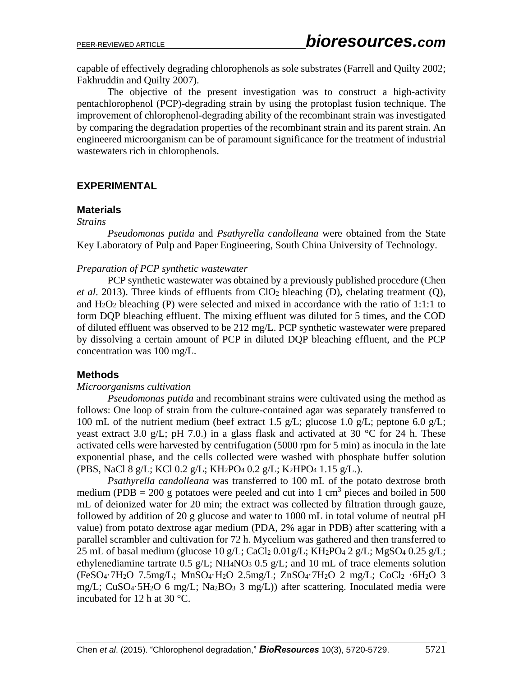capable of effectively degrading chlorophenols as sole substrates (Farrell and Quilty 2002; Fakhruddin and Quilty 2007).

The objective of the present investigation was to construct a high-activity pentachlorophenol (PCP)-degrading strain by using the protoplast fusion technique. The improvement of chlorophenol-degrading ability of the recombinant strain was investigated by comparing the degradation properties of the recombinant strain and its parent strain. An engineered microorganism can be of paramount significance for the treatment of industrial wastewaters rich in chlorophenols.

## **EXPERIMENTAL**

#### **Materials**

#### *Strains*

*Pseudomonas putida* and *Psathyrella candolleana* were obtained from the State Key Laboratory of Pulp and Paper Engineering, South China University of Technology.

#### *Preparation of PCP synthetic wastewater*

PCP synthetic wastewater was obtained by a previously published procedure (Chen *et al*. 2013). Three kinds of effluents from ClO<sup>2</sup> bleaching (D), chelating treatment (Q), and  $H_2O_2$  bleaching (P) were selected and mixed in accordance with the ratio of 1:1:1 to form DQP bleaching effluent. The mixing effluent was diluted for 5 times, and the COD of diluted effluent was observed to be 212 mg/L. PCP synthetic wastewater were prepared by dissolving a certain amount of PCP in diluted DQP bleaching effluent, and the PCP concentration was 100 mg/L.

## **Methods**

#### *Microorganisms cultivation*

*Pseudomonas putida* and recombinant strains were cultivated using the method as follows: One loop of strain from the culture-contained agar was separately transferred to 100 mL of the nutrient medium (beef extract 1.5 g/L; glucose 1.0 g/L; peptone 6.0 g/L; yeast extract 3.0 g/L; pH 7.0.) in a glass flask and activated at 30  $\degree$ C for 24 h. These activated cells were harvested by centrifugation (5000 rpm for 5 min) as inocula in the late exponential phase, and the cells collected were washed with phosphate buffer solution (PBS, NaCl 8 g/L; KCl 0.2 g/L; KH2PO<sup>4</sup> 0.2 g/L; K2HPO<sup>4</sup> 1.15 g/L.).

*Psathyrella candolleana* was transferred to 100 mL of the potato dextrose broth medium (PDB = 200 g potatoes were peeled and cut into 1 cm<sup>3</sup> pieces and boiled in 500 mL of deionized water for 20 min; the extract was collected by filtration through gauze, followed by addition of 20 g glucose and water to 1000 mL in total volume of neutral pH value) from potato dextrose agar medium (PDA, 2% agar in PDB) after scattering with a parallel scrambler and cultivation for 72 h. Mycelium was gathered and then transferred to 25 mL of basal medium (glucose 10 g/L; CaCl<sub>2</sub> 0.01g/L; KH<sub>2</sub>PO<sub>4</sub> 2 g/L; MgSO<sub>4</sub> 0.25 g/L; ethylenediamine tartrate  $0.5$  g/L; NH<sub>4</sub>NO<sub>3</sub>  $0.5$  g/L; and 10 mL of trace elements solution (FeSO4·7H2O 7.5mg/L; MnSO4·H2O 2.5mg/L; ZnSO4·7H2O 2 mg/L; CoCl<sup>2</sup> ·6H2O 3 mg/L; CuSO<sub>4</sub>·5H<sub>2</sub>O 6 mg/L; Na<sub>2</sub>BO<sub>3</sub> 3 mg/L)) after scattering. Inoculated media were incubated for 12 h at 30 °C.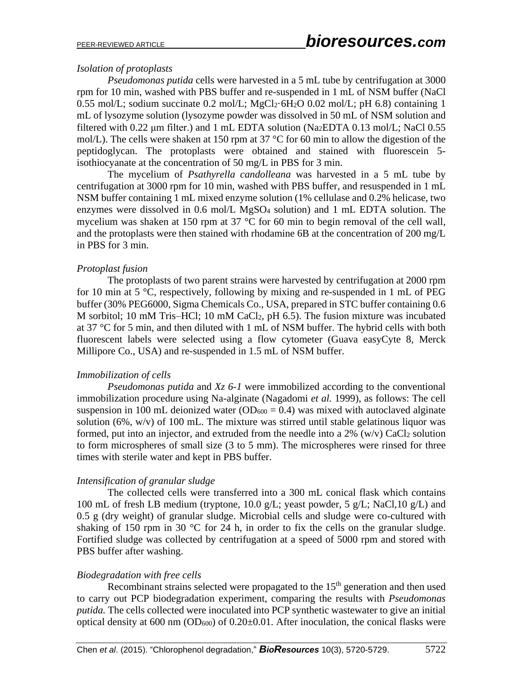# *Isolation of protoplasts*

*Pseudomonas putida* cells were harvested in a 5 mL tube by centrifugation at 3000 rpm for 10 min, washed with PBS buffer and re-suspended in 1 mL of NSM buffer (NaCl 0.55 mol/L; sodium succinate 0.2 mol/L;  $MgCl_2·6H_2O$  0.02 mol/L; pH 6.8) containing 1 mL of lysozyme solution (lysozyme powder was dissolved in 50 mL of NSM solution and filtered with 0.22 μm filter.) and 1 mL EDTA solution (Na<sub>2</sub>EDTA 0.13 mol/L; NaCl 0.55 mol/L). The cells were shaken at 150 rpm at 37 °C for 60 min to allow the digestion of the peptidoglycan. The protoplasts were obtained and stained with fluorescein 5 isothiocyanate at the concentration of 50 mg/L in PBS for 3 min.

The mycelium of *Psathyrella candolleana* was harvested in a 5 mL tube by centrifugation at 3000 rpm for 10 min, washed with PBS buffer, and resuspended in 1 mL NSM buffer containing 1 mL mixed enzyme solution (1% cellulase and 0.2% helicase, two enzymes were dissolved in 0.6 mol/L MgSO<sup>4</sup> solution) and 1 mL EDTA solution. The mycelium was shaken at 150 rpm at 37 °C for 60 min to begin removal of the cell wall, and the protoplasts were then stained with rhodamine 6B at the concentration of 200 mg/L in PBS for 3 min.

## *Protoplast fusion*

The protoplasts of two parent strains were harvested by centrifugation at 2000 rpm for 10 min at 5 °C, respectively, following by mixing and re-suspended in 1 mL of PEG buffer (30% PEG6000, Sigma Chemicals Co., USA, prepared in STC buffer containing 0.6 M sorbitol; 10 mM Tris–HCl; 10 mM CaCl2, pH 6.5). The fusion mixture was incubated at 37 °C for 5 min, and then diluted with 1 mL of NSM buffer. The hybrid cells with both fluorescent labels were selected using a flow cytometer (Guava easyCyte 8, Merck Millipore Co., USA) and re-suspended in 1.5 mL of NSM buffer.

## *Immobilization of cells*

*Pseudomonas putida* and *Xz 6-1* were immobilized according to the conventional immobilization procedure using Na-alginate (Nagadomi *et al.* 1999), as follows: The cell suspension in 100 mL deionized water  $(OD_{600} = 0.4)$  was mixed with autoclaved alginate solution (6%, w/v) of 100 mL. The mixture was stirred until stable gelatinous liquor was formed, put into an injector, and extruded from the needle into a  $2\%$  (w/v) CaCl<sub>2</sub> solution to form microspheres of small size (3 to 5 mm). The microspheres were rinsed for three times with sterile water and kept in PBS buffer.

## *Intensification of granular sludge*

The collected cells were transferred into a 300 mL conical flask which contains 100 mL of fresh LB medium (tryptone, 10.0 g/L; yeast powder, 5 g/L; NaCl,10 g/L) and 0.5 g (dry weight) of granular sludge. Microbial cells and sludge were co-cultured with shaking of 150 rpm in 30 °C for 24 h, in order to fix the cells on the granular sludge. Fortified sludge was collected by centrifugation at a speed of 5000 rpm and stored with PBS buffer after washing.

## *Biodegradation with free cells*

Recombinant strains selected were propagated to the  $15<sup>th</sup>$  generation and then used to carry out PCP biodegradation experiment, comparing the results with *Pseudomonas putida.* The cells collected were inoculated into PCP synthetic wastewater to give an initial optical density at 600 nm (OD<sub>600</sub>) of  $0.20 \pm 0.01$ . After inoculation, the conical flasks were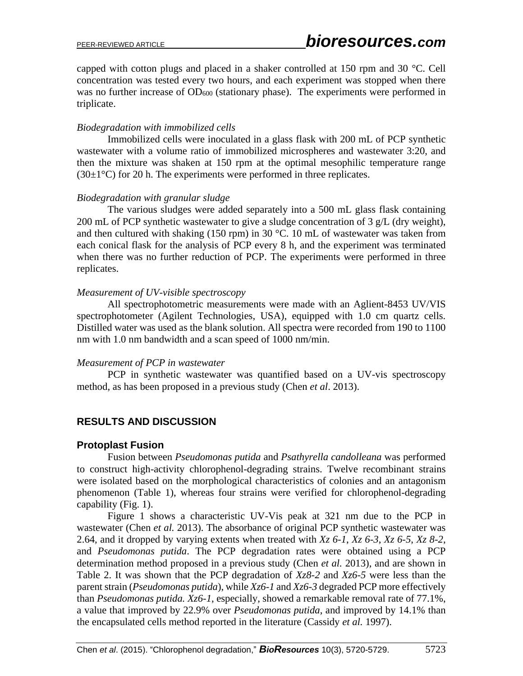capped with cotton plugs and placed in a shaker controlled at 150 rpm and 30 °C. Cell concentration was tested every two hours, and each experiment was stopped when there was no further increase of OD<sub>600</sub> (stationary phase). The experiments were performed in triplicate.

## *Biodegradation with immobilized cells*

Immobilized cells were inoculated in a glass flask with 200 mL of PCP synthetic wastewater with a volume ratio of immobilized microspheres and wastewater 3:20, and then the mixture was shaken at 150 rpm at the optimal mesophilic temperature range  $(30\pm1\degree C)$  for 20 h. The experiments were performed in three replicates.

## *Biodegradation with granular sludge*

The various sludges were added separately into a 500 mL glass flask containing 200 mL of PCP synthetic wastewater to give a sludge concentration of 3 g/L (dry weight), and then cultured with shaking (150 rpm) in 30 °C. 10 mL of wastewater was taken from each conical flask for the analysis of PCP every 8 h, and the experiment was terminated when there was no further reduction of PCP. The experiments were performed in three replicates.

## *Measurement of UV-visible spectroscopy*

All spectrophotometric measurements were made with an Aglient-8453 UV/VIS spectrophotometer (Agilent Technologies, USA), equipped with 1.0 cm quartz cells. Distilled water was used as the blank solution. All spectra were recorded from 190 to 1100 nm with 1.0 nm bandwidth and a scan speed of 1000 nm/min.

## *Measurement of PCP in wastewater*

PCP in synthetic wastewater was quantified based on a UV-vis spectroscopy method, as has been proposed in a previous study (Chen *et al*. 2013).

# **RESULTS AND DISCUSSION**

## **Protoplast Fusion**

Fusion between *Pseudomonas putida* and *Psathyrella candolleana* was performed to construct high-activity chlorophenol-degrading strains. Twelve recombinant strains were isolated based on the morphological characteristics of colonies and an antagonism phenomenon (Table 1), whereas four strains were verified for chlorophenol-degrading capability (Fig. 1).

Figure 1 shows a characteristic UV-Vis peak at 321 nm due to the PCP in wastewater (Chen *et al.* 2013). The absorbance of original PCP synthetic wastewater was 2.64, and it dropped by varying extents when treated with *Xz 6-1*, *Xz 6-3*, *Xz 6-5*, *Xz 8-2*, and *Pseudomonas putida*. The PCP degradation rates were obtained using a PCP determination method proposed in a previous study (Chen *et al.* 2013), and are shown in Table 2. It was shown that the PCP degradation of *Xz8-2* and *Xz6-5* were less than the parent strain (*Pseudomonas putida*), while *Xz6-1* and *Xz6-3* degraded PCP more effectively than *Pseudomonas putida. Xz6-1*, especially, showed a remarkable removal rate of 77.1%, a value that improved by 22.9% over *Pseudomonas putida*, and improved by 14.1% than the encapsulated cells method reported in the literature (Cassidy *et al.* 1997).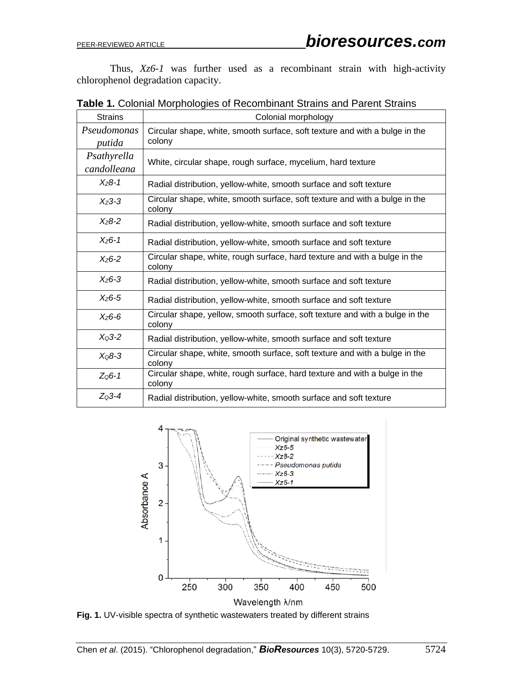Thus, *Xz6-1* was further used as a recombinant strain with high-activity chlorophenol degradation capacity.

| <b>Strains</b>             | Colonial morphology                                                                    |
|----------------------------|----------------------------------------------------------------------------------------|
| Pseudomonas<br>putida      | Circular shape, white, smooth surface, soft texture and with a bulge in the<br>colony  |
| Psathyrella<br>candolleana | White, circular shape, rough surface, mycelium, hard texture                           |
| $X_{7}8-1$                 | Radial distribution, yellow-white, smooth surface and soft texture                     |
| $X_{Z}3-3$                 | Circular shape, white, smooth surface, soft texture and with a bulge in the<br>colony  |
| $X_{Z}8-2$                 | Radial distribution, yellow-white, smooth surface and soft texture                     |
| $X_{Z}6-1$                 | Radial distribution, yellow-white, smooth surface and soft texture                     |
| $X_{Z}6-2$                 | Circular shape, white, rough surface, hard texture and with a bulge in the<br>colony   |
| $X_{76-3}$                 | Radial distribution, yellow-white, smooth surface and soft texture                     |
| $X_{76-5}$                 | Radial distribution, yellow-white, smooth surface and soft texture                     |
| $X_{Z}6-6$                 | Circular shape, yellow, smooth surface, soft texture and with a bulge in the<br>colony |
| $X03-2$                    | Radial distribution, yellow-white, smooth surface and soft texture                     |
| $XQ8-3$                    | Circular shape, white, smooth surface, soft texture and with a bulge in the<br>colony  |
| $Z06-1$                    | Circular shape, white, rough surface, hard texture and with a bulge in the<br>colony   |
| $Z03-4$                    | Radial distribution, yellow-white, smooth surface and soft texture                     |

**Table 1.** Colonial Morphologies of Recombinant Strains and Parent Strains



**Fig. 1.** UV-visible spectra of synthetic wastewaters treated by different strains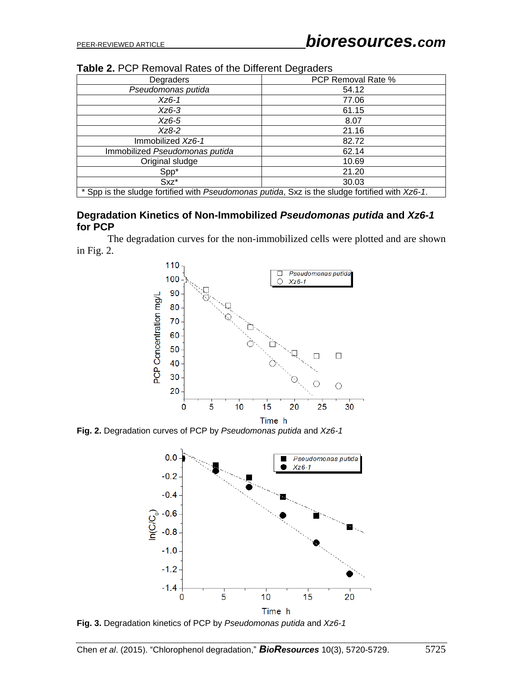| Degraders                                                                                      | PCP Removal Rate % |  |  |  |
|------------------------------------------------------------------------------------------------|--------------------|--|--|--|
| Pseudomonas putida                                                                             | 54.12              |  |  |  |
| Xz6-1                                                                                          | 77.06              |  |  |  |
| Xz6-3                                                                                          | 61.15              |  |  |  |
| $Xz6-5$                                                                                        | 8.07               |  |  |  |
| $Xz8-2$                                                                                        | 21.16              |  |  |  |
| Immobilized Xz6-1                                                                              | 82.72              |  |  |  |
| Immobilized Pseudomonas putida                                                                 | 62.14              |  |  |  |
| Original sludge                                                                                | 10.69              |  |  |  |
| Spp*                                                                                           | 21.20              |  |  |  |
| $Sxz^*$                                                                                        | 30.03              |  |  |  |
| * Spp is the sludge fortified with Pseudomonas putida, Sxz is the sludge fortified with Xz6-1. |                    |  |  |  |

| Table 2. PCP Removal Rates of the Different Degraders |  |  |  |  |
|-------------------------------------------------------|--|--|--|--|
|-------------------------------------------------------|--|--|--|--|

#### **Degradation Kinetics of Non-Immobilized** *Pseudomonas putida* **and** *Xz6-1* **for PCP**

The degradation curves for the non-immobilized cells were plotted and are shown in Fig. 2.



**Fig. 2.** Degradation curves of PCP by *Pseudomonas putida* and *Xz6-1*



**Fig. 3.** Degradation kinetics of PCP by *Pseudomonas putida* and *Xz6-1*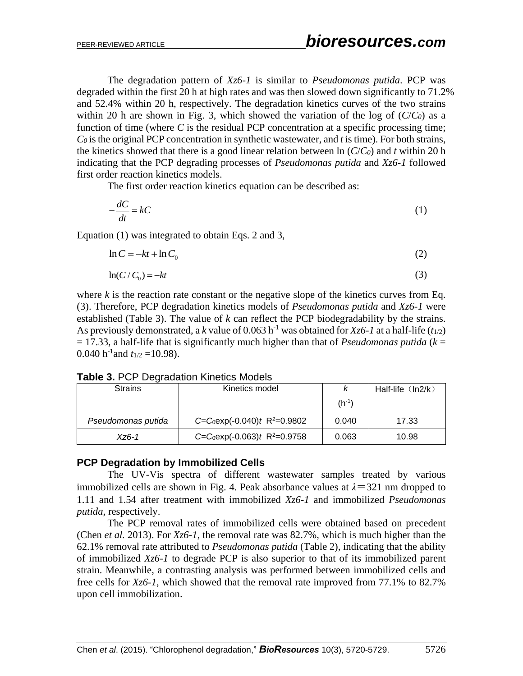The degradation pattern of *Xz6-1* is similar to *Pseudomonas putida*. PCP was degraded within the first 20 h at high rates and was then slowed down significantly to 71.2% and 52.4% within 20 h, respectively. The degradation kinetics curves of the two strains within 20 h are shown in Fig. 3, which showed the variation of the log of  $(C/C_0)$  as a function of time (where C is the residual PCP concentration at a specific processing time;  $Co$  is the original PCP concentration in synthetic wastewater, and  $t$  is time). For both strains, the kinetics showed that there is a good linear relation between ln (*C*/*C0*) and *t* within 20 h indicating that the PCP degrading processes of *Pseudomonas putida* and *Xz6-1* followed first order reaction kinetics models.

The first order reaction kinetics equation can be described as:

$$
-\frac{dC}{dt} = kC\tag{1}
$$

Equation (1) was integrated to obtain Eqs. 2 and 3,

$$
\ln C = -kt + \ln C_0 \tag{2}
$$

$$
\ln(C/C_0) = -kt \tag{3}
$$

where  $k$  is the reaction rate constant or the negative slope of the kinetics curves from Eq. (3). Therefore, PCP degradation kinetics models of *Pseudomonas putida* and *Xz6-1* were established (Table 3). The value of *k* can reflect the PCP biodegradability by the strains. As previously demonstrated, a *k* value of 0.063 h<sup>-1</sup> was obtained for *Xz6-1* at a half-life ( $t_{1/2}$ )  $= 17.33$ , a half-life that is significantly much higher than that of *Pseudomonas putida* ( $k = 17.33$ ) 0.040 h<sup>-1</sup> and  $t_{1/2}$  = 10.98).

#### **Table 3.** PCP Degradation Kinetics Models

| <b>Strains</b>     | Kinetics model                 |            | Half-life $(ln2/k)$ |
|--------------------|--------------------------------|------------|---------------------|
|                    |                                | $(h^{-1})$ |                     |
| Pseudomonas putida | $C=C_0exp(-0.040)t R^2=0.9802$ | 0.040      | 17.33               |
| $XZ6-1$            | $C=C_0exp(-0.063)t R^2=0.9758$ | 0.063      | 10.98               |

#### **PCP Degradation by Immobilized Cells**

The UV-Vis spectra of different wastewater samples treated by various immobilized cells are shown in Fig. 4. Peak absorbance values at  $\lambda$ =321 nm dropped to 1.11 and 1.54 after treatment with immobilized *Xz6-1* and immobilized *Pseudomonas putida*, respectively.

The PCP removal rates of immobilized cells were obtained based on precedent (Chen *et al.* 2013). For *Xz6-1*, the removal rate was 82.7%, which is much higher than the 62.1% removal rate attributed to *Pseudomonas putida* (Table 2), indicating that the ability of immobilized *Xz6-1* to degrade PCP is also superior to that of its immobilized parent strain. Meanwhile, a contrasting analysis was performed between immobilized cells and free cells for *Xz6-1*, which showed that the removal rate improved from 77.1% to 82.7% upon cell immobilization.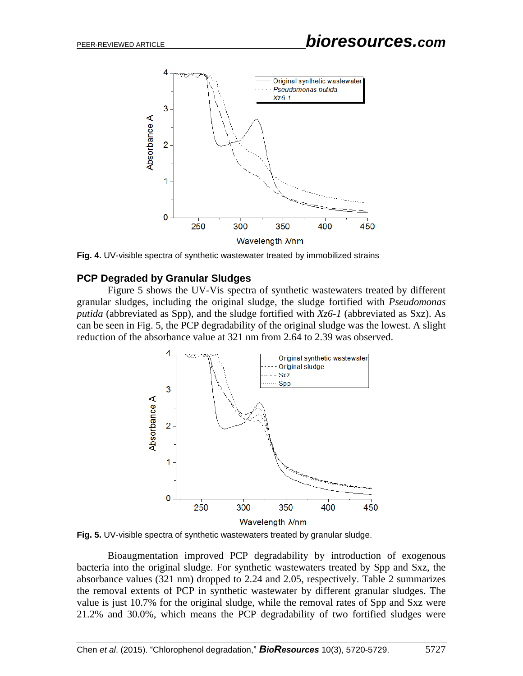

**Fig. 4.** UV-visible spectra of synthetic wastewater treated by immobilized strains

#### **PCP Degraded by Granular Sludges**

Figure 5 shows the UV-Vis spectra of synthetic wastewaters treated by different granular sludges, including the original sludge, the sludge fortified with *Pseudomonas putida* (abbreviated as Spp), and the sludge fortified with *Xz6-1* (abbreviated as Sxz). As can be seen in Fig. 5, the PCP degradability of the original sludge was the lowest. A slight reduction of the absorbance value at 321 nm from 2.64 to 2.39 was observed.



**Fig. 5.** UV-visible spectra of synthetic wastewaters treated by granular sludge.

Bioaugmentation improved PCP degradability by introduction of exogenous bacteria into the original sludge. For synthetic wastewaters treated by Spp and Sxz, the absorbance values (321 nm) dropped to 2.24 and 2.05, respectively. Table 2 summarizes the removal extents of PCP in synthetic wastewater by different granular sludges. The value is just 10.7% for the original sludge, while the removal rates of Spp and Sxz were 21.2% and 30.0%, which means the PCP degradability of two fortified sludges were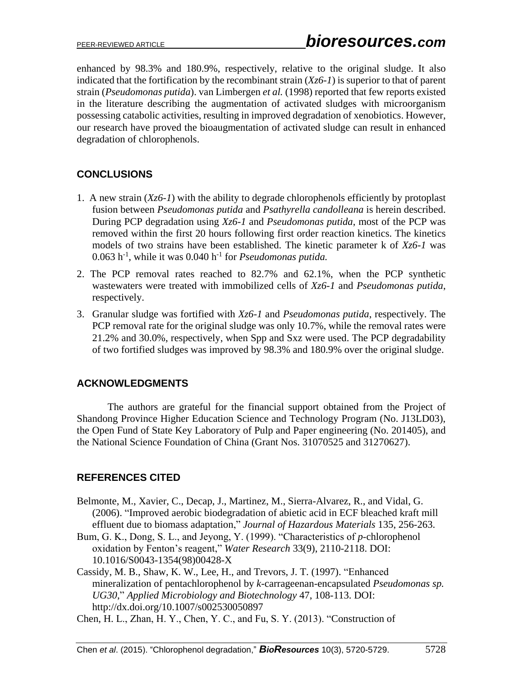enhanced by 98.3% and 180.9%, respectively, relative to the original sludge. It also indicated that the fortification by the recombinant strain (*Xz6-1*) is superior to that of parent strain (*Pseudomonas putida*). van Limbergen *et al.* (1998) reported that few reports existed in the literature describing the augmentation of activated sludges with microorganism possessing catabolic activities, resulting in improved degradation of xenobiotics. However, our research have proved the bioaugmentation of activated sludge can result in enhanced degradation of chlorophenols.

# **CONCLUSIONS**

- 1. A new strain (*Xz6-1*) with the ability to degrade chlorophenols efficiently by protoplast fusion between *Pseudomonas putida* and *Psathyrella candolleana* is herein described. During PCP degradation using *Xz6-1* and *Pseudomonas putida*, most of the PCP was removed within the first 20 hours following first order reaction kinetics. The kinetics models of two strains have been established. The kinetic parameter k of *Xz6-1* was 0.063 h -1 , while it was 0.040 h -1 for *Pseudomonas putida.*
- 2. The PCP removal rates reached to 82.7% and 62.1%, when the PCP synthetic wastewaters were treated with immobilized cells of *Xz6-1* and *Pseudomonas putida*, respectively.
- 3. Granular sludge was fortified with *Xz6-1* and *Pseudomonas putida*, respectively. The PCP removal rate for the original sludge was only 10.7%, while the removal rates were 21.2% and 30.0%, respectively, when Spp and Sxz were used. The PCP degradability of two fortified sludges was improved by 98.3% and 180.9% over the original sludge.

# **ACKNOWLEDGMENTS**

The authors are grateful for the financial support obtained from the Project of Shandong Province Higher Education Science and Technology Program (No. J13LD03), the Open Fund of State Key Laboratory of Pulp and Paper engineering (No. 201405), and the National Science Foundation of China (Grant Nos. 31070525 and 31270627).

# **REFERENCES CITED**

- Belmonte, M., Xavier, C., Decap, J., Martinez, M., Sierra-Alvarez, R., and Vidal, G. (2006). "Improved aerobic biodegradation of abietic acid in ECF bleached kraft mill effluent due to biomass adaptation," *Journal of Hazardous Materials* 135, 256-263.
- Bum, G. K., Dong, S. L., and Jeyong, Y. (1999). "Characteristics of *p*-chlorophenol oxidation by Fenton's reagent," *Water Research* 33(9), 2110-2118. DOI: 10.1016/S0043-1354(98)00428-X
- Cassidy, M. B., Shaw, K. W., Lee, H., and Trevors, J. T. (1997). "Enhanced mineralization of pentachlorophenol by *k*-carrageenan-encapsulated *Pseudomonas sp. UG30*," *Applied Microbiology and Biotechnology* 47, 108-113. DOI: http://dx.doi.org/10.1007/s002530050897
- Chen, H. L., Zhan, H. Y., Chen, Y. C., and Fu, S. Y. (2013). "Construction of